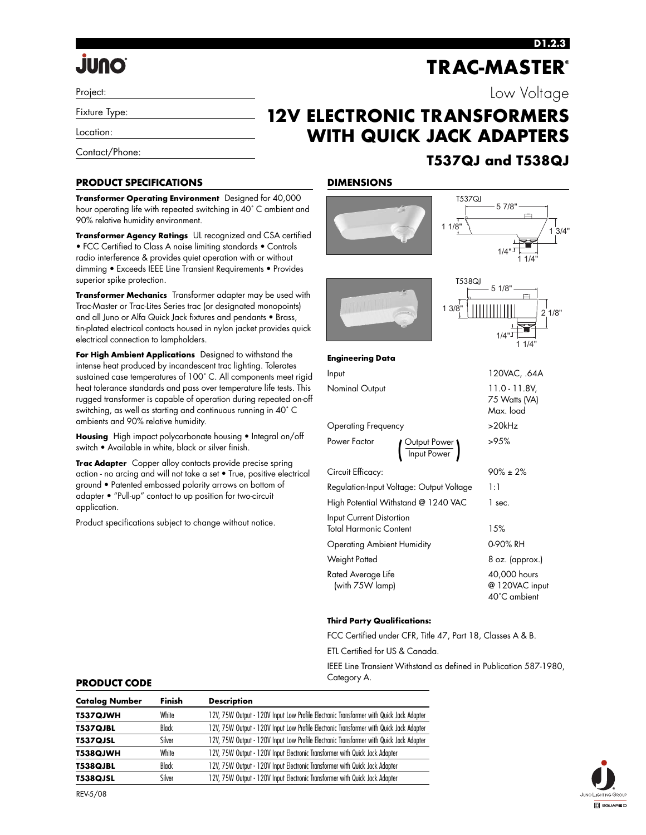# **TRAC-MASTER®**

**T537QJ and T538QJ**

Low Voltage

**D1.2.3**

# **12V ELECTRONIC TRANSFORMERS WITH QUICK JACK ADAPTERS**

# **ONUL**

Project:

Fixture Type:

Location:

Contact/Phone:

# **PRODUCT SPECIFICATIONS**

**Transformer Operating Environment** Designed for 40,000 hour operating life with repeated switching in 40˚ C ambient and 90% relative humidity environment.

**Transformer Agency Ratings** UL recognized and CSA certified • FCC Certified to Class A noise limiting standards • Controls radio interference & provides quiet operation with or without dimming • Exceeds IEEE Line Transient Requirements • Provides superior spike protection.

**Transformer Mechanics** Transformer adapter may be used with Trac-Master or Trac-Lites Series trac (or designated monopoints) and all Juno or Alfa Quick Jack fixtures and pendants • Brass, tin-plated electrical contacts housed in nylon jacket provides quick electrical connection to lampholders.

**For High Ambient Applications** Designed to withstand the intense heat produced by incandescent trac lighting. Tolerates sustained case temperatures of 100˚ C. All components meet rigid heat tolerance standards and pass over temperature life tests. This rugged transformer is capable of operation during repeated on-off switching, as well as starting and continuous running in 40˚ C ambients and 90% relative humidity.

**Housing** High impact polycarbonate housing • Integral on/off switch • Available in white, black or silver finish.

**Trac Adapter** Copper alloy contacts provide precise spring action - no arcing and will not take a set • True, positive electrical ground • Patented embossed polarity arrows on bottom of adapter • "Pull-up" contact to up position for two-circuit application.

Product specifications subject to change without notice.

# **DIMENSIONS**







#### **Engineering Data**

| Input                                              | 120VAC, .64A                                   |
|----------------------------------------------------|------------------------------------------------|
| Nominal Output                                     | $11.0 - 11.8V$<br>75 Watts (VA)<br>Max. load   |
| Operating Frequency                                | >20kHz                                         |
| Power Factor<br>Output Power<br>Input Power        | >95%                                           |
| Circuit Efficacy:                                  | $90\% \pm 2\%$                                 |
| Regulation-Input Voltage: Output Voltage           | 1:1                                            |
| High Potential Withstand @ 1240 VAC                | 1 sec.                                         |
| Input Current Distortion<br>Total Harmonic Content | 15%                                            |
| <b>Operating Ambient Humidity</b>                  | 0-90% RH                                       |
| Weight Potted                                      | 8 oz. (approx.)                                |
| Rated Average Lite<br>(with 75W lamp)              | 40,000 hours<br>@ 120VAC input<br>40°C ambient |

### **Third Party Qualifications:**

FCC Certified under CFR, Title 47, Part 18, Classes A & B.

ETL Certified for US & Canada.

IEEE Line Transient Withstand as defined in Publication 587-1980, Category A.

#### **PRODUCT CODE**

| <b>Catalog Number</b> | <b>Finish</b> | <b>Description</b>                                                                      |
|-----------------------|---------------|-----------------------------------------------------------------------------------------|
| T537QJWH              | White         | 12V, 75W Output - 120V Input Low Profile Electronic Transformer with Quick Jack Adapter |
| <b>T537QJBL</b>       | Black         | 12V, 75W Output - 120V Input Low Profile Electronic Transformer with Quick Jack Adapter |
| <b>T537QJSL</b>       | Silver        | 12V, 75W Output - 120V Input Low Profile Electronic Transformer with Quick Jack Adapter |
| <b>T538QJWH</b>       | White         | 12V, 75W Output - 120V Input Electronic Transformer with Quick Jack Adapter             |
| <b>T538QJBL</b>       | Black         | 12V, 75W Output - 120V Input Electronic Transformer with Quick Jack Adapter             |
| <b>T538QJSL</b>       | Silver        | 12V, 75W Output - 120V Input Electronic Transformer with Quick Jack Adapter             |